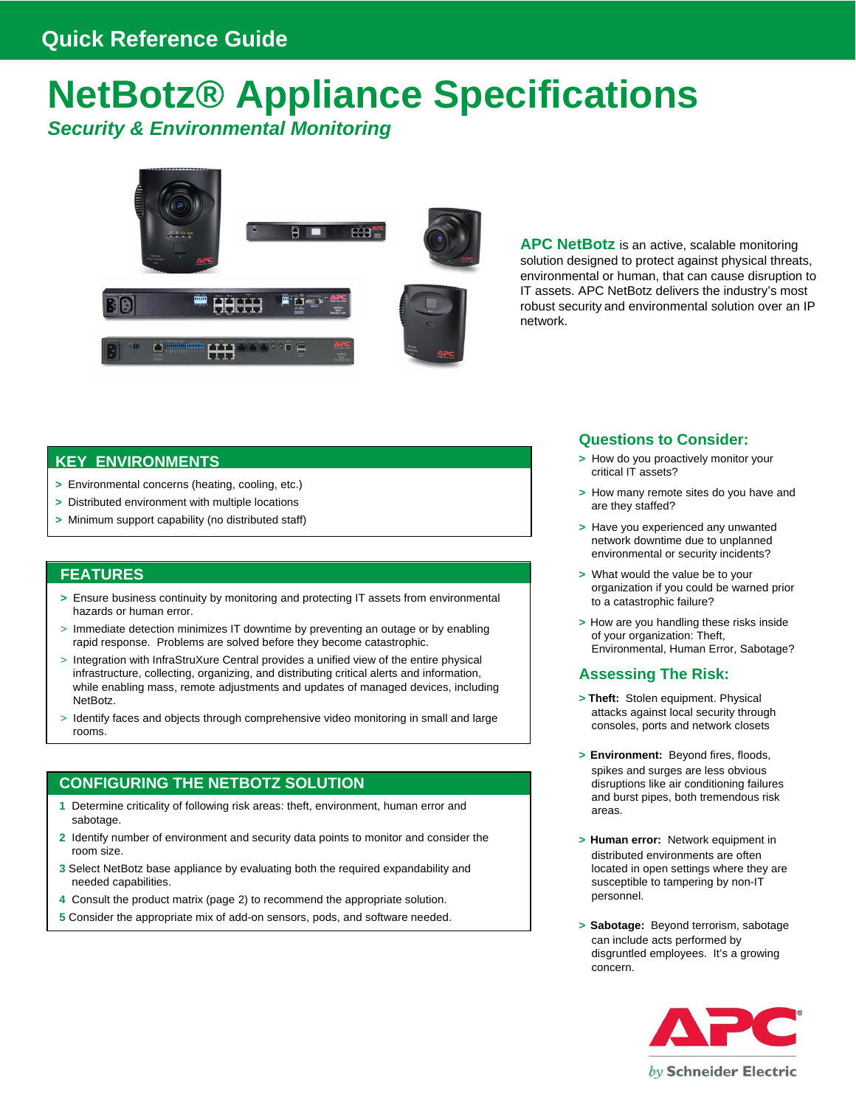# **NetBotz® Appliance Specifications** *Security & Environmental Monitoring*



**APC NetBotz** is an active, scalable monitoring solution designed to protect against physical threats, environmental or human, that can cause disruption to IT assets. APC NetBotz delivers the industry's most robust security and environmental solution over an IP network.

# **KEY ENVIRONMENTS**

- **>** Environmental concerns (heating, cooling, etc.)
- **>** Distributed environment with multiple locations
- **>** Minimum support capability (no distributed staff)

### **FEATURES**

- **>** Ensure business continuity by monitoring and protecting IT assets from environmental hazards or human error.
- > Immediate detection minimizes IT downtime by preventing an outage or by enabling rapid response. Problems are solved before they become catastrophic.
- > Integration with InfraStruXure Central provides a unified view of the entire physical infrastructure, collecting, organizing, and distributing critical alerts and information, while enabling mass, remote adjustments and updates of managed devices, including NetBotz.
- > Identify faces and objects through comprehensive video monitoring in small and large rooms.

# **CONFIGURING THE NETBOTZ SOLUTION**

- **1** Determine criticality of following risk areas: theft, environment, human error and sabotage.
- **2** Identify number of environment and security data points to monitor and consider the room size.
- **3** Select NetBotz base appliance by evaluating both the required expandability and needed capabilities.
- **4** Consult the product matrix (page 2) to recommend the appropriate solution.
- **5** Consider the appropriate mix of add-on sensors, pods, and software needed.

#### **Questions to Consider:**

- **>** How do you proactively monitor your critical IT assets?
- **>** How many remote sites do you have and are they staffed?
- **>** Have you experienced any unwanted network downtime due to unplanned environmental or security incidents?
- **>** What would the value be to your organization if you could be warned prior to a catastrophic failure?
- **>** How are you handling these risks inside of your organization: Theft, Environmental, Human Error, Sabotage?

### **Assessing The Risk:**

- **> Theft:** Stolen equipment. Physical attacks against local security through consoles, ports and network closets
- **> Environment:** Beyond fires, floods, spikes and surges are less obvious disruptions like air conditioning failures and burst pipes, both tremendous risk areas.
- **> Human error:** Network equipment in distributed environments are often located in open settings where they are susceptible to tampering by non-IT personnel.
- **> Sabotage:** Beyond terrorism, sabotage can include acts performed by disgruntled employees. It's a growing concern.